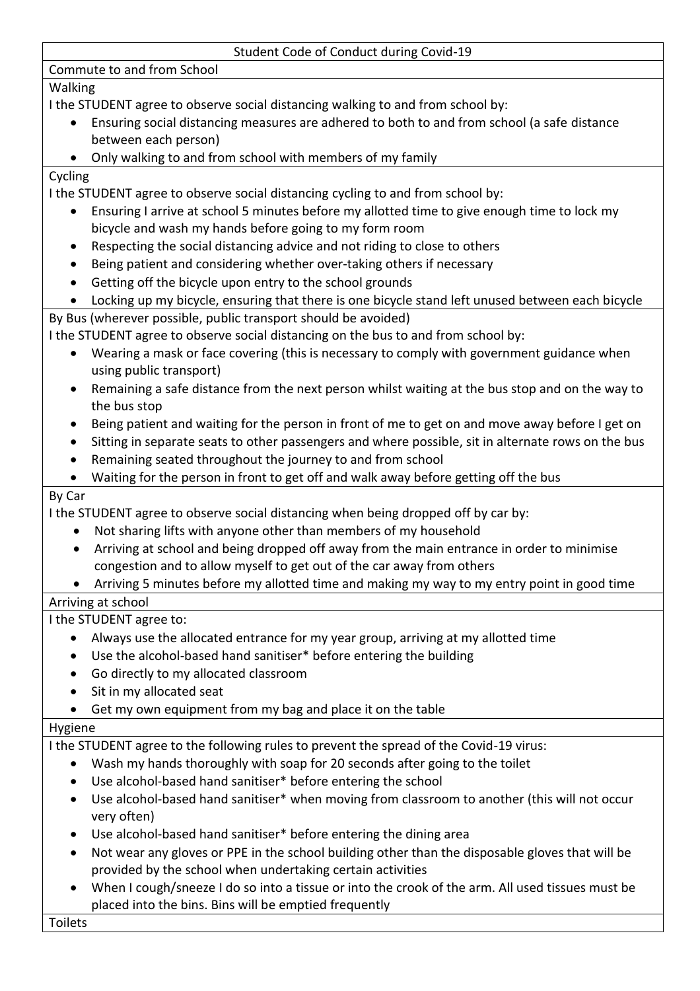#### Student Code of Conduct during Covid-19

Commute to and from School

## Walking

I the STUDENT agree to observe social distancing walking to and from school by:

- Ensuring social distancing measures are adhered to both to and from school (a safe distance between each person)
- Only walking to and from school with members of my family

### Cycling

I the STUDENT agree to observe social distancing cycling to and from school by:

- Ensuring I arrive at school 5 minutes before my allotted time to give enough time to lock my bicycle and wash my hands before going to my form room
- Respecting the social distancing advice and not riding to close to others
- Being patient and considering whether over-taking others if necessary
- Getting off the bicycle upon entry to the school grounds
- Locking up my bicycle, ensuring that there is one bicycle stand left unused between each bicycle

## By Bus (wherever possible, public transport should be avoided)

I the STUDENT agree to observe social distancing on the bus to and from school by:

- Wearing a mask or face covering (this is necessary to comply with government guidance when using public transport)
- Remaining a safe distance from the next person whilst waiting at the bus stop and on the way to the bus stop
- Being patient and waiting for the person in front of me to get on and move away before I get on
- Sitting in separate seats to other passengers and where possible, sit in alternate rows on the bus
- Remaining seated throughout the journey to and from school
- Waiting for the person in front to get off and walk away before getting off the bus

## By Car

I the STUDENT agree to observe social distancing when being dropped off by car by:

- Not sharing lifts with anyone other than members of my household
- Arriving at school and being dropped off away from the main entrance in order to minimise congestion and to allow myself to get out of the car away from others
- Arriving 5 minutes before my allotted time and making my way to my entry point in good time

# Arriving at school

I the STUDENT agree to:

- Always use the allocated entrance for my year group, arriving at my allotted time
- Use the alcohol-based hand sanitiser\* before entering the building
- Go directly to my allocated classroom
- Sit in my allocated seat
- Get my own equipment from my bag and place it on the table

## Hygiene

I the STUDENT agree to the following rules to prevent the spread of the Covid-19 virus:

- Wash my hands thoroughly with soap for 20 seconds after going to the toilet
- Use alcohol-based hand sanitiser\* before entering the school
- Use alcohol-based hand sanitiser\* when moving from classroom to another (this will not occur very often)
- Use alcohol-based hand sanitiser\* before entering the dining area
- Not wear any gloves or PPE in the school building other than the disposable gloves that will be provided by the school when undertaking certain activities
- When I cough/sneeze I do so into a tissue or into the crook of the arm. All used tissues must be placed into the bins. Bins will be emptied frequently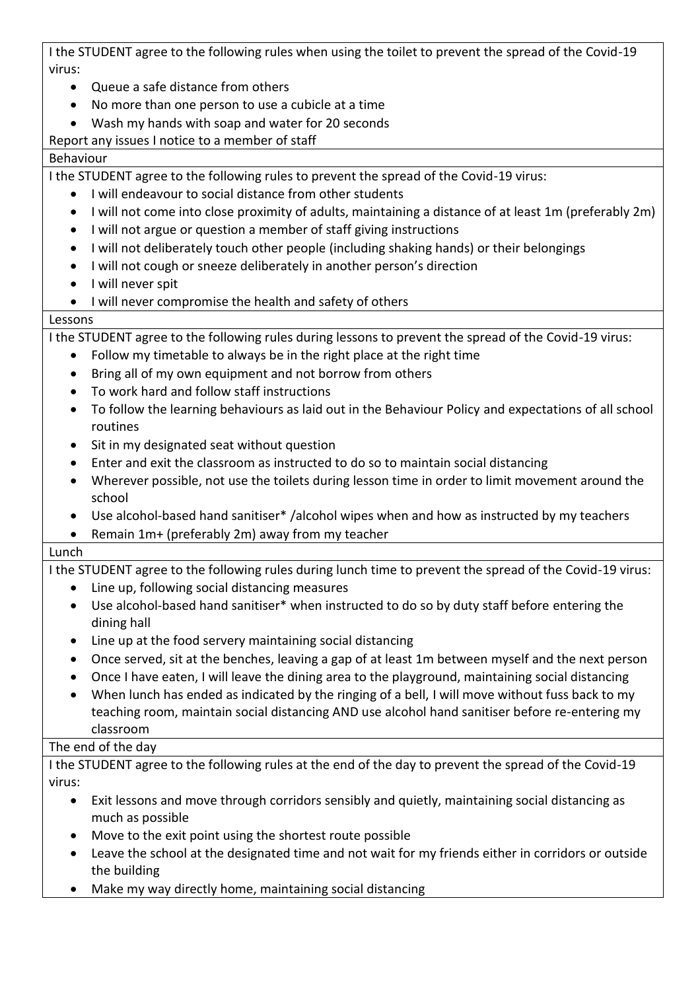I the STUDENT agree to the following rules when using the toilet to prevent the spread of the Covid-19 virus:

- Queue a safe distance from others
- No more than one person to use a cubicle at a time
- Wash my hands with soap and water for 20 seconds

## Report any issues I notice to a member of staff

## Behaviour

I the STUDENT agree to the following rules to prevent the spread of the Covid-19 virus:

- I will endeavour to social distance from other students
- I will not come into close proximity of adults, maintaining a distance of at least 1m (preferably 2m)
- I will not argue or question a member of staff giving instructions
- I will not deliberately touch other people (including shaking hands) or their belongings
- I will not cough or sneeze deliberately in another person's direction
- I will never spit
- I will never compromise the health and safety of others

#### Lessons

I the STUDENT agree to the following rules during lessons to prevent the spread of the Covid-19 virus:

- Follow my timetable to always be in the right place at the right time
- Bring all of my own equipment and not borrow from others
- To work hard and follow staff instructions
- To follow the learning behaviours as laid out in the Behaviour Policy and expectations of all school routines
- Sit in my designated seat without question
- Enter and exit the classroom as instructed to do so to maintain social distancing
- Wherever possible, not use the toilets during lesson time in order to limit movement around the school
- Use alcohol-based hand sanitiser\* /alcohol wipes when and how as instructed by my teachers
- Remain 1m+ (preferably 2m) away from my teacher

## Lunch

I the STUDENT agree to the following rules during lunch time to prevent the spread of the Covid-19 virus:

- Line up, following social distancing measures
- Use alcohol-based hand sanitiser\* when instructed to do so by duty staff before entering the dining hall
- Line up at the food servery maintaining social distancing
- Once served, sit at the benches, leaving a gap of at least 1m between myself and the next person
- Once I have eaten, I will leave the dining area to the playground, maintaining social distancing
- When lunch has ended as indicated by the ringing of a bell, I will move without fuss back to my

#### teaching room, maintain social distancing AND use alcohol hand sanitiser before re-entering my classroom

# The end of the day

I the STUDENT agree to the following rules at the end of the day to prevent the spread of the Covid-19 virus:

- Exit lessons and move through corridors sensibly and quietly, maintaining social distancing as much as possible
- Move to the exit point using the shortest route possible
- Leave the school at the designated time and not wait for my friends either in corridors or outside the building
- Make my way directly home, maintaining social distancing